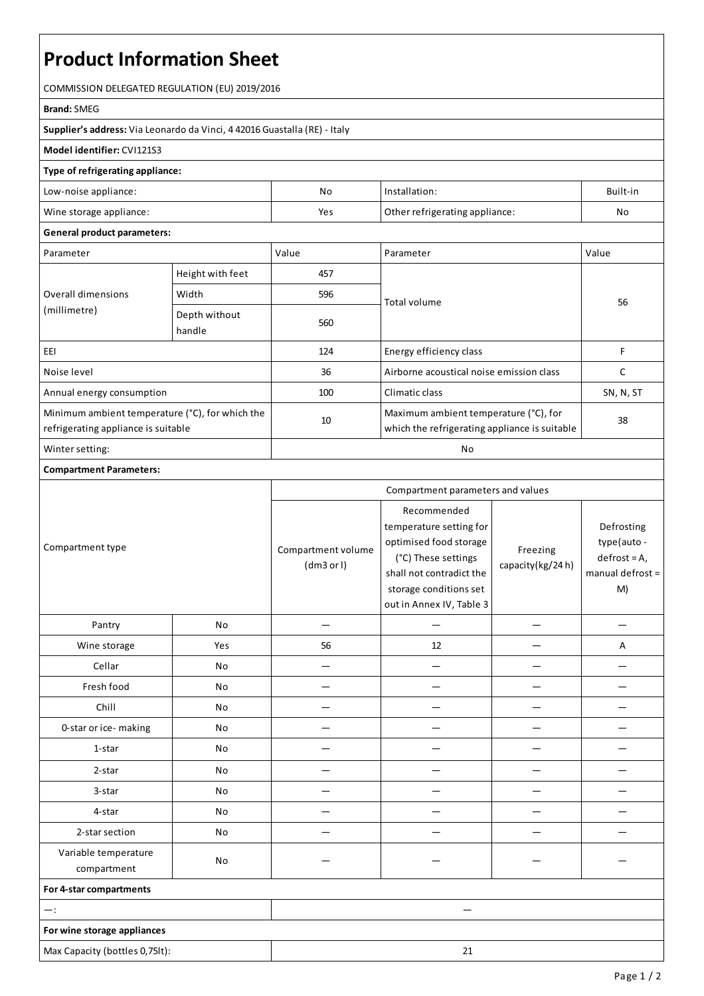# **Product Information Sheet**

COMMISSION DELEGATED REGULATION (EU) 2019/2016

#### **Brand:**SMEG

**Supplier's address:** ViaLeonardo da Vinci, 4 42016 Guastalla(RE) - Italy

### **Model identifier:** CVI121S3

#### **Type of refrigerating appliance:**

| Low-noise appliance:    | Νo  | Installation:                  | Built-in |
|-------------------------|-----|--------------------------------|----------|
| Wine storage appliance: | Yes | Other refrigerating appliance: | No       |

#### **General product parameters:**

| Parameter                                                                              |                         | Value | Parameter                                                                              | Value     |
|----------------------------------------------------------------------------------------|-------------------------|-------|----------------------------------------------------------------------------------------|-----------|
| Overall dimensions<br>(millimetre)                                                     | Height with feet        | 457   |                                                                                        | 56        |
|                                                                                        | Width                   | 596   | Total volume                                                                           |           |
|                                                                                        | Depth without<br>handle | 560   |                                                                                        |           |
| EEI                                                                                    |                         | 124   | Energy efficiency class                                                                | F         |
| Noise level                                                                            |                         | 36    | Airborne acoustical noise emission class                                               |           |
| Annual energy consumption                                                              |                         | 100   | Climatic class                                                                         | SN, N, ST |
| Minimum ambient temperature (°C), for which the<br>refrigerating appliance is suitable |                         | 10    | Maximum ambient temperature (°C), for<br>which the refrigerating appliance is suitable | 38        |
| Winter setting:                                                                        |                         | No    |                                                                                        |           |

## **Compartment Parameters:**

| Compartment type                    |     | Compartment parameters and values |                                                                                                                                                                           |                              |                                                                      |
|-------------------------------------|-----|-----------------------------------|---------------------------------------------------------------------------------------------------------------------------------------------------------------------------|------------------------------|----------------------------------------------------------------------|
|                                     |     | Compartment volume<br>(dm3 or l)  | Recommended<br>temperature setting for<br>optimised food storage<br>(°C) These settings<br>shall not contradict the<br>storage conditions set<br>out in Annex IV, Table 3 | Freezing<br>capacity(kg/24h) | Defrosting<br>type(auto-<br>$defrost = A,$<br>manual defrost =<br>M) |
| Pantry                              | No  |                                   |                                                                                                                                                                           |                              |                                                                      |
| Wine storage                        | Yes | 56                                | 12                                                                                                                                                                        |                              | A                                                                    |
| Cellar                              | No  |                                   |                                                                                                                                                                           |                              |                                                                      |
| Fresh food                          | No  | $\overline{\phantom{0}}$          |                                                                                                                                                                           |                              |                                                                      |
| Chill                               | No  |                                   |                                                                                                                                                                           |                              |                                                                      |
| 0-star or ice-making                | No  |                                   |                                                                                                                                                                           |                              |                                                                      |
| 1-star                              | No  |                                   |                                                                                                                                                                           |                              |                                                                      |
| 2-star                              | No  |                                   |                                                                                                                                                                           |                              |                                                                      |
| 3-star                              | No  |                                   |                                                                                                                                                                           |                              |                                                                      |
| 4-star                              | No  |                                   |                                                                                                                                                                           |                              |                                                                      |
| 2-star section                      | No  |                                   |                                                                                                                                                                           |                              |                                                                      |
| Variable temperature<br>compartment | No  |                                   |                                                                                                                                                                           |                              |                                                                      |
| For 4-star compartments             |     |                                   |                                                                                                                                                                           |                              |                                                                      |
| $-$ :                               |     |                                   |                                                                                                                                                                           |                              |                                                                      |
| For wine storage appliances         |     |                                   |                                                                                                                                                                           |                              |                                                                      |
| Max Capacity (bottles 0,75lt):      |     |                                   | 21                                                                                                                                                                        |                              |                                                                      |